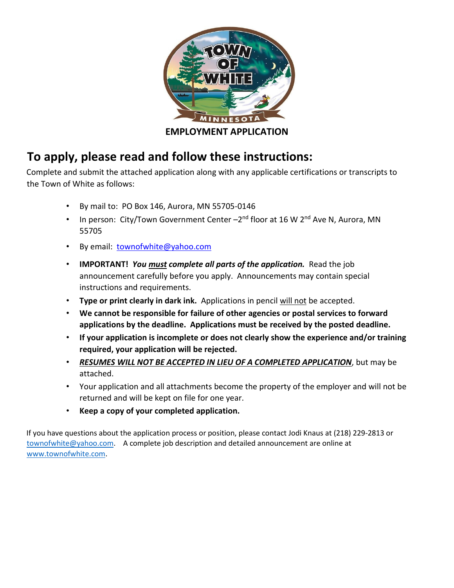

## **To apply, please read and follow these instructions:**

Complete and submit the attached application along with any applicable certifications or transcripts to the Town of White as follows:

- By mail to: PO Box 146, Aurora, MN 55705-0146
- In person: City/Town Government Center  $-2^{nd}$  floor at 16 W  $2^{nd}$  Ave N, Aurora, MN 55705
- By email: townofwhite@yahoo.com
- **IMPORTANT!** *You must complete all parts of the application.* Read the job announcement carefully before you apply. Announcements may contain special instructions and requirements.
- **Type or print clearly in dark ink.** Applications in pencil will not be accepted.
- **We cannot be responsible for failure of other agencies or postal services to forward applications by the deadline. Applications must be received by the posted deadline.**
- **If your application is incomplete or does not clearly show the experience and/or training required, your application will be rejected.**
- *RESUMES WILL NOT BE ACCEPTED IN LIEU OF A COMPLETED APPLICATION*, but may be attached.
- Your application and all attachments become the property of the employer and will not be returned and will be kept on file for one year.
- **Keep a copy of your completed application.**

If you have questions about the application process or position, please contact Jodi Knaus at (218) 229-2813 or townofwhite@yahoo.com. A complete job description and detailed announcement are online at [www.townofwhite.com.](http://www.townofwhite.com/)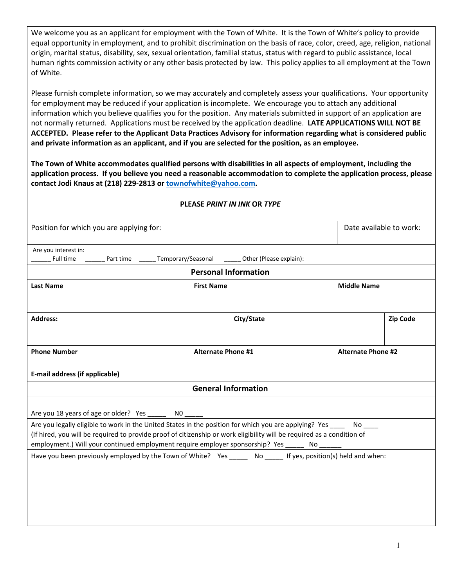We welcome you as an applicant for employment with the Town of White. It is the Town of White's policy to provide equal opportunity in employment, and to prohibit discrimination on the basis of race, color, creed, age, religion, national origin, marital status, disability, sex, sexual orientation, familial status, status with regard to public assistance, local human rights commission activity or any other basis protected by law. This policy applies to all employment at the Town of White.

Please furnish complete information, so we may accurately and completely assess your qualifications. Your opportunity for employment may be reduced if your application is incomplete. We encourage you to attach any additional information which you believe qualifies you for the position. Any materials submitted in support of an application are not normally returned. Applications must be received by the application deadline. **LATE APPLICATIONS WILL NOT BE ACCEPTED. Please refer to the Applicant Data Practices Advisory for information regarding what is considered public and private information as an applicant, and if you are selected for the position, as an employee.** 

**The Town of White accommodates qualified persons with disabilities in all aspects of employment, including the application process. If you believe you need a reasonable accommodation to complete the application process, please contact Jodi Knaus at (218) 229-2813 or townofwhite@yahoo.com.** 

#### **PLEASE** *PRINT IN INK* **OR** *TYPE*

| Position for which you are applying for:                                                                                                                                                                                                                                                       | Date available to work:   |                             |                           |                 |
|------------------------------------------------------------------------------------------------------------------------------------------------------------------------------------------------------------------------------------------------------------------------------------------------|---------------------------|-----------------------------|---------------------------|-----------------|
| Are you interest in:                                                                                                                                                                                                                                                                           |                           |                             |                           |                 |
|                                                                                                                                                                                                                                                                                                |                           | <b>Personal Information</b> |                           |                 |
| <b>Last Name</b>                                                                                                                                                                                                                                                                               | <b>First Name</b>         |                             | <b>Middle Name</b>        |                 |
|                                                                                                                                                                                                                                                                                                |                           |                             |                           |                 |
| <b>Address:</b>                                                                                                                                                                                                                                                                                |                           | City/State                  |                           | <b>Zip Code</b> |
|                                                                                                                                                                                                                                                                                                |                           |                             |                           |                 |
| <b>Phone Number</b>                                                                                                                                                                                                                                                                            | <b>Alternate Phone #1</b> |                             | <b>Alternate Phone #2</b> |                 |
|                                                                                                                                                                                                                                                                                                |                           |                             |                           |                 |
| E-mail address (if applicable)                                                                                                                                                                                                                                                                 |                           |                             |                           |                 |
|                                                                                                                                                                                                                                                                                                |                           | <b>General Information</b>  |                           |                 |
| Are you 18 years of age or older? Yes ________ NO ______<br>Are you legally eligible to work in the United States in the position for which you are applying? Yes No<br>(If hired, you will be required to provide proof of citizenship or work eligibility will be required as a condition of |                           |                             |                           |                 |
| employment.) Will your continued employment require employer sponsorship? Yes ______ No ______                                                                                                                                                                                                 |                           |                             |                           |                 |
| Have you been previously employed by the Town of White? Yes ______ No _____ If yes, position(s) held and when:                                                                                                                                                                                 |                           |                             |                           |                 |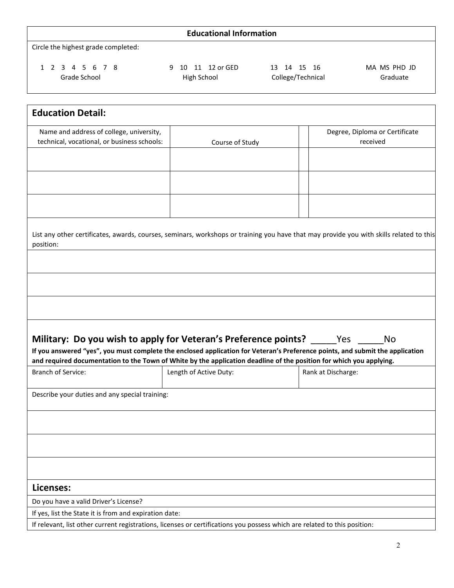### **Educational Information**

Circle the highest grade completed:

1 2 3 4 5 6 7 8 9 10 11 12 or GED 13 14 15 16 MA MS PHD JD

Grade School **Figh School** High School College/Technical Graduate

| <b>Education Detail:</b>                                                                                                                                                                             |                                                                                                                           |                                                                                                                                         |  |
|------------------------------------------------------------------------------------------------------------------------------------------------------------------------------------------------------|---------------------------------------------------------------------------------------------------------------------------|-----------------------------------------------------------------------------------------------------------------------------------------|--|
| Name and address of college, university,<br>technical, vocational, or business schools:                                                                                                              | Course of Study                                                                                                           | Degree, Diploma or Certificate<br>received                                                                                              |  |
|                                                                                                                                                                                                      |                                                                                                                           |                                                                                                                                         |  |
|                                                                                                                                                                                                      |                                                                                                                           |                                                                                                                                         |  |
|                                                                                                                                                                                                      |                                                                                                                           |                                                                                                                                         |  |
| position:                                                                                                                                                                                            |                                                                                                                           | List any other certificates, awards, courses, seminars, workshops or training you have that may provide you with skills related to this |  |
|                                                                                                                                                                                                      |                                                                                                                           |                                                                                                                                         |  |
|                                                                                                                                                                                                      |                                                                                                                           |                                                                                                                                         |  |
|                                                                                                                                                                                                      |                                                                                                                           |                                                                                                                                         |  |
| Military: Do you wish to apply for Veteran's Preference points? Nes<br>If you answered "yes", you must complete the enclosed application for Veteran's Preference points, and submit the application |                                                                                                                           | No                                                                                                                                      |  |
| and required documentation to the Town of White by the application deadline of the position for which you applying.<br><b>Branch of Service:</b>                                                     | Length of Active Duty:                                                                                                    | Rank at Discharge:                                                                                                                      |  |
| Describe your duties and any special training:                                                                                                                                                       |                                                                                                                           |                                                                                                                                         |  |
|                                                                                                                                                                                                      |                                                                                                                           |                                                                                                                                         |  |
|                                                                                                                                                                                                      |                                                                                                                           |                                                                                                                                         |  |
|                                                                                                                                                                                                      |                                                                                                                           |                                                                                                                                         |  |
| Licenses:                                                                                                                                                                                            |                                                                                                                           |                                                                                                                                         |  |
| Do you have a valid Driver's License?                                                                                                                                                                |                                                                                                                           |                                                                                                                                         |  |
| If yes, list the State it is from and expiration date:                                                                                                                                               |                                                                                                                           |                                                                                                                                         |  |
|                                                                                                                                                                                                      | If relevant, list other current registrations, licenses or certifications you possess which are related to this position: |                                                                                                                                         |  |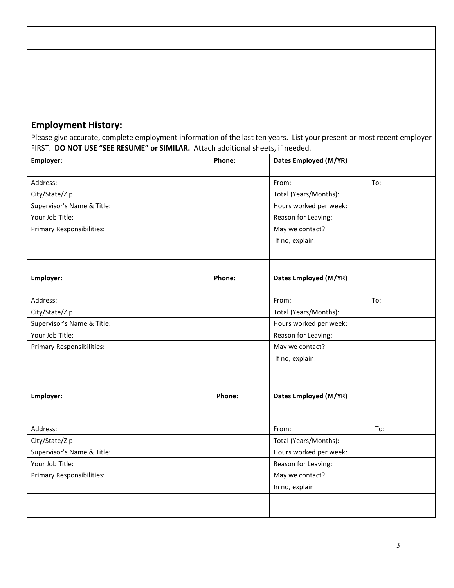### **Employment History:**

Please give accurate, complete employment information of the last ten years. List your present or most recent employer FIRST. **DO NOT USE "SEE RESUME" or SIMILAR.** Attach additional sheets, if needed.

| Employer:                        | Phone: | Dates Employed (M/YR)  |                     |  |  |
|----------------------------------|--------|------------------------|---------------------|--|--|
| Address:                         |        | From:                  | To:                 |  |  |
| City/State/Zip                   |        | Total (Years/Months):  |                     |  |  |
| Supervisor's Name & Title:       |        | Hours worked per week: |                     |  |  |
| Your Job Title:                  |        | Reason for Leaving:    |                     |  |  |
| <b>Primary Responsibilities:</b> |        | May we contact?        |                     |  |  |
|                                  |        | If no, explain:        |                     |  |  |
|                                  |        |                        |                     |  |  |
|                                  |        |                        |                     |  |  |
| Employer:                        | Phone: | Dates Employed (M/YR)  |                     |  |  |
| Address:                         |        | From:                  | To:                 |  |  |
| City/State/Zip                   |        | Total (Years/Months):  |                     |  |  |
| Supervisor's Name & Title:       |        | Hours worked per week: |                     |  |  |
| Your Job Title:                  |        |                        | Reason for Leaving: |  |  |
| Primary Responsibilities:        |        | May we contact?        |                     |  |  |
|                                  |        | If no, explain:        |                     |  |  |
|                                  |        |                        |                     |  |  |
|                                  |        |                        |                     |  |  |
| Employer:                        | Phone: | Dates Employed (M/YR)  |                     |  |  |
| Address:                         |        | From:                  | To:                 |  |  |
| City/State/Zip                   |        | Total (Years/Months):  |                     |  |  |
| Supervisor's Name & Title:       |        | Hours worked per week: |                     |  |  |
| Your Job Title:                  |        | Reason for Leaving:    |                     |  |  |
| <b>Primary Responsibilities:</b> |        | May we contact?        |                     |  |  |
|                                  |        | In no, explain:        |                     |  |  |
|                                  |        |                        |                     |  |  |
|                                  |        |                        |                     |  |  |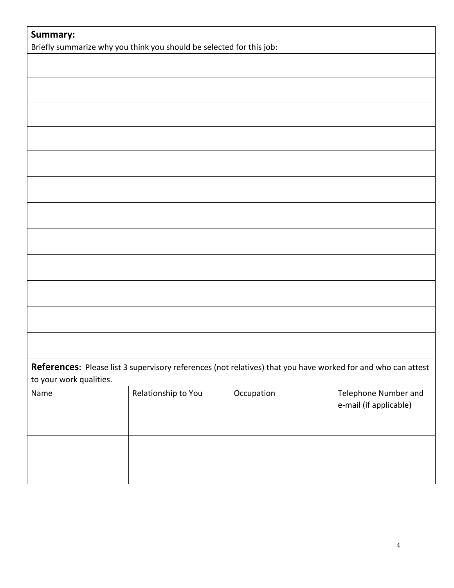| Summary:                | Briefly summarize why you think you should be selected for this job:                                         |            |                                                       |
|-------------------------|--------------------------------------------------------------------------------------------------------------|------------|-------------------------------------------------------|
|                         |                                                                                                              |            |                                                       |
|                         |                                                                                                              |            |                                                       |
|                         |                                                                                                              |            |                                                       |
|                         |                                                                                                              |            |                                                       |
|                         |                                                                                                              |            |                                                       |
|                         |                                                                                                              |            |                                                       |
|                         |                                                                                                              |            |                                                       |
|                         |                                                                                                              |            |                                                       |
|                         |                                                                                                              |            |                                                       |
|                         |                                                                                                              |            |                                                       |
|                         |                                                                                                              |            |                                                       |
|                         |                                                                                                              |            |                                                       |
|                         |                                                                                                              |            |                                                       |
|                         |                                                                                                              |            |                                                       |
|                         |                                                                                                              |            |                                                       |
|                         |                                                                                                              |            |                                                       |
|                         |                                                                                                              |            |                                                       |
|                         | References: Please list 3 supervisory references (not relatives) that you have worked for and who can attest |            |                                                       |
| to your work qualities. |                                                                                                              |            |                                                       |
| Name                    | Relationship to You                                                                                          | Occupation | <b>Telephone Number and</b><br>e-mail (if applicable) |
|                         |                                                                                                              |            |                                                       |
|                         |                                                                                                              |            |                                                       |
|                         |                                                                                                              |            |                                                       |
|                         |                                                                                                              |            |                                                       |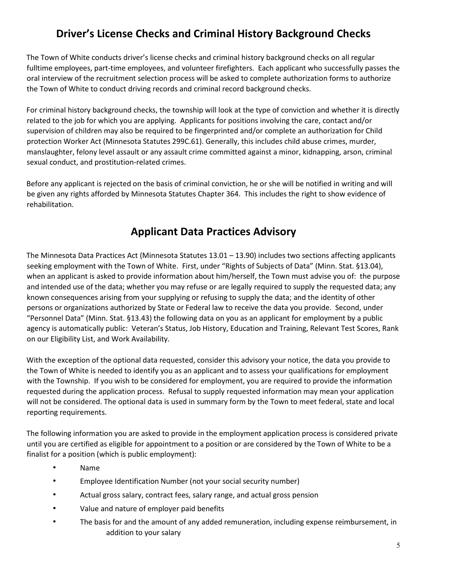## **Driver's License Checks and Criminal History Background Checks**

The Town of White conducts driver's license checks and criminal history background checks on all regular fulltime employees, part-time employees, and volunteer firefighters. Each applicant who successfully passes the oral interview of the recruitment selection process will be asked to complete authorization forms to authorize the Town of White to conduct driving records and criminal record background checks.

For criminal history background checks, the township will look at the type of conviction and whether it is directly related to the job for which you are applying. Applicants for positions involving the care, contact and/or supervision of children may also be required to be fingerprinted and/or complete an authorization for Child protection Worker Act (Minnesota Statutes 299C.61). Generally, this includes child abuse crimes, murder, manslaughter, felony level assault or any assault crime committed against a minor, kidnapping, arson, criminal sexual conduct, and prostitution-related crimes.

Before any applicant is rejected on the basis of criminal conviction, he or she will be notified in writing and will be given any rights afforded by Minnesota Statutes Chapter 364. This includes the right to show evidence of rehabilitation.

### **Applicant Data Practices Advisory**

The Minnesota Data Practices Act (Minnesota Statutes 13.01 – 13.90) includes two sections affecting applicants seeking employment with the Town of White. First, under "Rights of Subjects of Data" (Minn. Stat. §13.04), when an applicant is asked to provide information about him/herself, the Town must advise you of: the purpose and intended use of the data; whether you may refuse or are legally required to supply the requested data; any known consequences arising from your supplying or refusing to supply the data; and the identity of other persons or organizations authorized by State or Federal law to receive the data you provide. Second, under "Personnel Data" (Minn. Stat. §13.43) the following data on you as an applicant for employment by a public agency is automatically public: Veteran's Status, Job History, Education and Training, Relevant Test Scores, Rank on our Eligibility List, and Work Availability.

With the exception of the optional data requested, consider this advisory your notice, the data you provide to the Town of White is needed to identify you as an applicant and to assess your qualifications for employment with the Township. If you wish to be considered for employment, you are required to provide the information requested during the application process. Refusal to supply requested information may mean your application will not be considered. The optional data is used in summary form by the Town to meet federal, state and local reporting requirements.

The following information you are asked to provide in the employment application process is considered private until you are certified as eligible for appointment to a position or are considered by the Town of White to be a finalist for a position (which is public employment):

- Name
- Employee Identification Number (not your social security number)
- Actual gross salary, contract fees, salary range, and actual gross pension
- Value and nature of employer paid benefits
- The basis for and the amount of any added remuneration, including expense reimbursement, in addition to your salary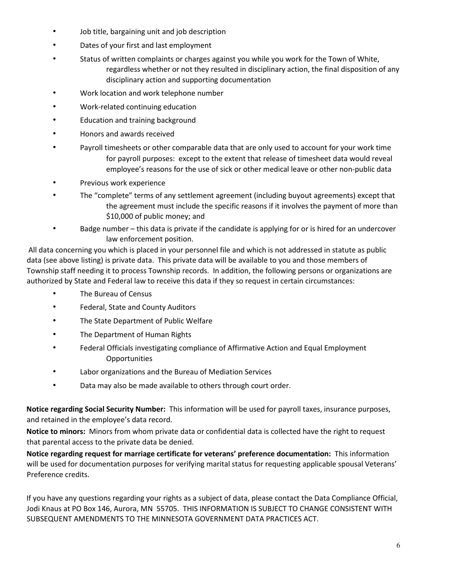- Job title, bargaining unit and job description
- Dates of your first and last employment
- Status of written complaints or charges against you while you work for the Town of White, regardless whether or not they resulted in disciplinary action, the final disposition of any disciplinary action and supporting documentation
- Work location and work telephone number
- Work-related continuing education
- Education and training background
- Honors and awards received
- Payroll timesheets or other comparable data that are only used to account for your work time for payroll purposes: except to the extent that release of timesheet data would reveal employee's reasons for the use of sick or other medical leave or other non-public data
- Previous work experience
- The "complete" terms of any settlement agreement (including buyout agreements) except that the agreement must include the specific reasons if it involves the payment of more than \$10,000 of public money; and
- Badge number this data is private if the candidate is applying for or is hired for an undercover law enforcement position.

All data concerning you which is placed in your personnel file and which is not addressed in statute as public data (see above listing) is private data. This private data will be available to you and those members of Township staff needing it to process Township records. In addition, the following persons or organizations are authorized by State and Federal law to receive this data if they so request in certain circumstances:

- The Bureau of Census
- Federal, State and County Auditors
- The State Department of Public Welfare
- The Department of Human Rights
- Federal Officials investigating compliance of Affirmative Action and Equal Employment **Opportunities**
- Labor organizations and the Bureau of Mediation Services
- Data may also be made available to others through court order.

**Notice regarding Social Security Number:** This information will be used for payroll taxes, insurance purposes, and retained in the employee's data record.

**Notice to minors:** Minors from whom private data or confidential data is collected have the right to request that parental access to the private data be denied.

**Notice regarding request for marriage certificate for veterans' preference documentation:** This information will be used for documentation purposes for verifying marital status for requesting applicable spousal Veterans' Preference credits.

If you have any questions regarding your rights as a subject of data, please contact the Data Compliance Official, Jodi Knaus at PO Box 146, Aurora, MN 55705. THIS INFORMATION IS SUBJECT TO CHANGE CONSISTENT WITH SUBSEQUENT AMENDMENTS TO THE MINNESOTA GOVERNMENT DATA PRACTICES ACT.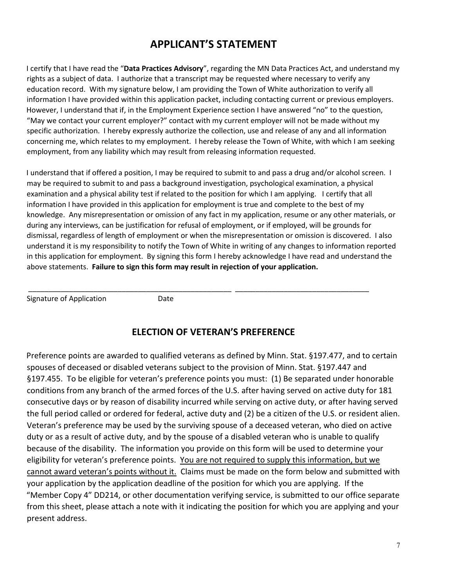### **APPLICANT'S STATEMENT**

I certify that I have read the "**Data Practices Advisory**", regarding the MN Data Practices Act, and understand my rights as a subject of data. I authorize that a transcript may be requested where necessary to verify any education record. With my signature below, I am providing the Town of White authorization to verify all information I have provided within this application packet, including contacting current or previous employers. However, I understand that if, in the Employment Experience section I have answered "no" to the question, "May we contact your current employer?" contact with my current employer will not be made without my specific authorization. I hereby expressly authorize the collection, use and release of any and all information concerning me, which relates to my employment. I hereby release the Town of White, with which I am seeking employment, from any liability which may result from releasing information requested.

I understand that if offered a position, I may be required to submit to and pass a drug and/or alcohol screen. I may be required to submit to and pass a background investigation, psychological examination, a physical examination and a physical ability test if related to the position for which I am applying. I certify that all information I have provided in this application for employment is true and complete to the best of my knowledge. Any misrepresentation or omission of any fact in my application, resume or any other materials, or during any interviews, can be justification for refusal of employment, or if employed, will be grounds for dismissal, regardless of length of employment or when the misrepresentation or omission is discovered. I also understand it is my responsibility to notify the Town of White in writing of any changes to information reported in this application for employment. By signing this form I hereby acknowledge I have read and understand the above statements. **Failure to sign this form may result in rejection of your application.** 

Signature of Application Date

### **ELECTION OF VETERAN'S PREFERENCE**

\_\_\_\_\_\_\_\_\_\_\_\_\_\_\_\_\_\_\_\_\_\_\_\_\_\_\_\_\_\_\_\_\_\_\_\_\_\_\_\_\_\_\_\_\_\_\_\_\_\_ \_\_\_\_\_\_\_\_\_\_\_\_\_\_\_\_\_\_\_\_\_\_\_\_\_\_\_\_\_\_\_\_\_

Preference points are awarded to qualified veterans as defined by Minn. Stat. §197.477, and to certain spouses of deceased or disabled veterans subject to the provision of Minn. Stat. §197.447 and §197.455. To be eligible for veteran's preference points you must: (1) Be separated under honorable conditions from any branch of the armed forces of the U.S. after having served on active duty for 181 consecutive days or by reason of disability incurred while serving on active duty, or after having served the full period called or ordered for federal, active duty and (2) be a citizen of the U.S. or resident alien. Veteran's preference may be used by the surviving spouse of a deceased veteran, who died on active duty or as a result of active duty, and by the spouse of a disabled veteran who is unable to qualify because of the disability. The information you provide on this form will be used to determine your eligibility for veteran's preference points. You are not required to supply this information, but we cannot award veteran's points without it. Claims must be made on the form below and submitted with your application by the application deadline of the position for which you are applying. If the "Member Copy 4" DD214, or other documentation verifying service, is submitted to our office separate from this sheet, please attach a note with it indicating the position for which you are applying and your present address.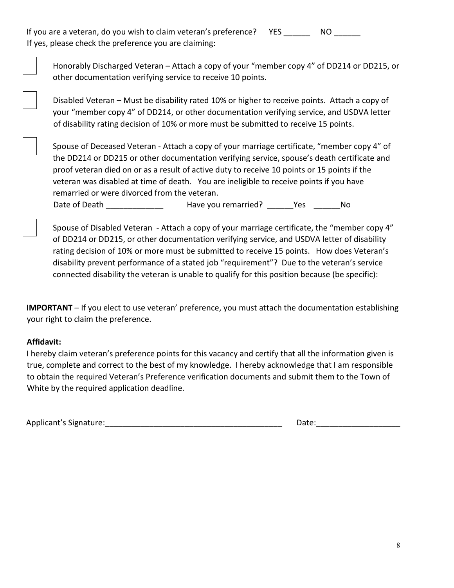If you are a veteran, do you wish to claim veteran's preference? YES NO If yes, please check the preference you are claiming:



Honorably Discharged Veteran – Attach a copy of your "member copy 4" of DD214 or DD215, or other documentation verifying service to receive 10 points.

 Disabled Veteran – Must be disability rated 10% or higher to receive points. Attach a copy of your "member copy 4" of DD214, or other documentation verifying service, and USDVA letter of disability rating decision of 10% or more must be submitted to receive 15 points.

 Spouse of Deceased Veteran - Attach a copy of your marriage certificate, "member copy 4" of the DD214 or DD215 or other documentation verifying service, spouse's death certificate and proof veteran died on or as a result of active duty to receive 10 points or 15 points if the veteran was disabled at time of death. You are ineligible to receive points if you have remarried or were divorced from the veteran.

Date of Death **Example 20** Have you remarried? The Yes The No

 Spouse of Disabled Veteran - Attach a copy of your marriage certificate, the "member copy 4" of DD214 or DD215, or other documentation verifying service, and USDVA letter of disability rating decision of 10% or more must be submitted to receive 15 points. How does Veteran's disability prevent performance of a stated job "requirement"? Due to the veteran's service connected disability the veteran is unable to qualify for this position because (be specific):

**IMPORTANT** – If you elect to use veteran' preference, you must attach the documentation establishing your right to claim the preference.

### **Affidavit:**

I hereby claim veteran's preference points for this vacancy and certify that all the information given is true, complete and correct to the best of my knowledge. I hereby acknowledge that I am responsible to obtain the required Veteran's Preference verification documents and submit them to the Town of White by the required application deadline.

Applicant's Signature:\_\_\_\_\_\_\_\_\_\_\_\_\_\_\_\_\_\_\_\_\_\_\_\_\_\_\_\_\_\_\_\_\_\_\_\_\_\_\_\_ Date:\_\_\_\_\_\_\_\_\_\_\_\_\_\_\_\_\_\_\_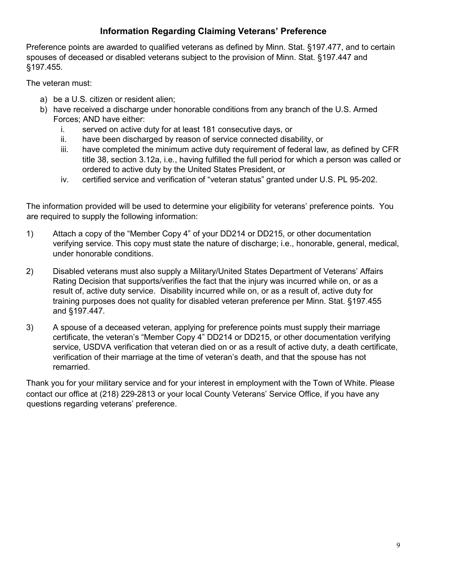### **Information Regarding Claiming Veterans' Preference**

Preference points are awarded to qualified veterans as defined by Minn. Stat. §197.477, and to certain spouses of deceased or disabled veterans subject to the provision of Minn. Stat. §197.447 and §197.455.

The veteran must:

- a) be a U.S. citizen or resident alien;
- b) have received a discharge under honorable conditions from any branch of the U.S. Armed Forces; AND have either:
	- i. served on active duty for at least 181 consecutive days, or
	- ii. have been discharged by reason of service connected disability, or
	- iii. have completed the minimum active duty requirement of federal law, as defined by CFR title 38, section 3.12a, i.e., having fulfilled the full period for which a person was called or ordered to active duty by the United States President, or
	- iv. certified service and verification of "veteran status" granted under U.S. PL 95-202.

The information provided will be used to determine your eligibility for veterans' preference points. You are required to supply the following information:

- 1) Attach a copy of the "Member Copy 4" of your DD214 or DD215, or other documentation verifying service. This copy must state the nature of discharge; i.e., honorable, general, medical, under honorable conditions.
- 2) Disabled veterans must also supply a Military/United States Department of Veterans' Affairs Rating Decision that supports/verifies the fact that the injury was incurred while on, or as a result of, active duty service. Disability incurred while on, or as a result of, active duty for training purposes does not quality for disabled veteran preference per Minn. Stat. §197.455 and §197.447.
- 3) A spouse of a deceased veteran, applying for preference points must supply their marriage certificate, the veteran's "Member Copy 4" DD214 or DD215, or other documentation verifying service, USDVA verification that veteran died on or as a result of active duty, a death certificate, verification of their marriage at the time of veteran's death, and that the spouse has not remarried.

Thank you for your military service and for your interest in employment with the Town of White. Please contact our office at (218) 229-2813 or your local County Veterans' Service Office, if you have any questions regarding veterans' preference.